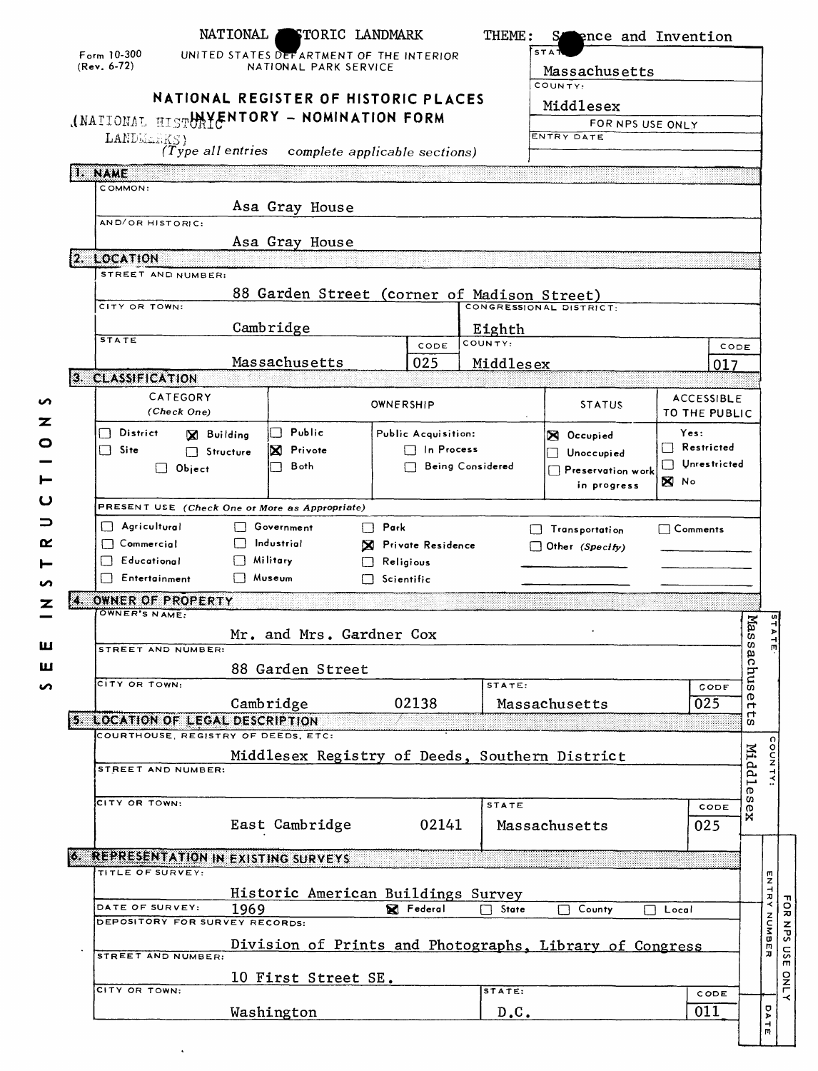|                                                                  | NATIONAL | <b>STORIC LANDMARK</b>                   |                   |                     | THEME:            | S.                                                                     | <b>Pence and Invention</b> |                           |
|------------------------------------------------------------------|----------|------------------------------------------|-------------------|---------------------|-------------------|------------------------------------------------------------------------|----------------------------|---------------------------|
| Form $10-300$                                                    |          | UNITED STATES DEFARTMENT OF THE INTERIOR |                   |                     |                   | STA <sup>'</sup>                                                       |                            |                           |
| $(Rev. 6-72)$                                                    |          | NATIONAL PARK SERVICE                    |                   |                     |                   | Massachusetts                                                          |                            |                           |
|                                                                  |          | NATIONAL REGISTER OF HISTORIC PLACES     |                   |                     |                   | COUNTY:                                                                |                            |                           |
| (NATIONAL HISTHAYENTORY - NOMINATION FORM                        |          |                                          |                   |                     |                   | Middlesex                                                              |                            |                           |
|                                                                  |          |                                          |                   |                     |                   | FOR NPS USE ONLY<br>ENTRY DATE                                         |                            |                           |
| LANDMARKS)<br>(Type all entries                                  |          | complete applicable sections)            |                   |                     |                   |                                                                        |                            |                           |
| I. NAME                                                          |          |                                          |                   |                     |                   |                                                                        |                            |                           |
| COMMON:                                                          |          |                                          |                   |                     |                   |                                                                        |                            |                           |
| AND/OR HISTORIC:                                                 |          | Asa Gray House                           |                   |                     |                   |                                                                        |                            |                           |
|                                                                  |          | Asa Gray House                           |                   |                     |                   |                                                                        |                            |                           |
| 2. LOCATION                                                      |          |                                          |                   |                     |                   |                                                                        |                            |                           |
| STREET AND NUMBER:                                               |          |                                          |                   |                     |                   |                                                                        |                            |                           |
| CITY OR TOWN:                                                    |          |                                          |                   |                     |                   | 88 Garden Street (corner of Madison Street)<br>CONGRESSIONAL DISTRICT- |                            |                           |
|                                                                  |          |                                          |                   |                     |                   |                                                                        |                            |                           |
| <b>STATE</b>                                                     |          | Cambridge                                |                   | CODE                | Eighth<br>COUNTY: |                                                                        | CODE                       |                           |
|                                                                  |          | Massachusetts                            |                   | 025                 | Middlesex         |                                                                        | 017                        |                           |
| 3. CLASSIFICATION                                                |          |                                          |                   |                     |                   |                                                                        |                            |                           |
| CATEGORY                                                         |          |                                          | OWNERSHIP         |                     |                   | <b>STATUS</b>                                                          | <b>ACCESSIBLE</b>          |                           |
| (Check One)                                                      |          |                                          |                   |                     |                   |                                                                        | TO THE PUBLIC              |                           |
| $\Box$ District<br><b>X</b> Building                             |          | Public<br>$\blacksquare$                 |                   | Public Acquisition: |                   | <b>X</b> Occupied                                                      | Yes:<br>$\Box$ Restricted  |                           |
| $\Box$ Site<br>Structure<br>$\Box$ Object                        |          | X Privote<br>Both                        |                   | $\Box$ In Process   | Being Considered  | Unoccupied                                                             | $\Box$ Unrestricted        |                           |
|                                                                  |          |                                          |                   |                     |                   | Preservation work<br>in progress                                       | ⊠ N∘                       |                           |
| PRESENT USE (Check One or More as Appropriate)                   |          |                                          |                   |                     |                   |                                                                        |                            |                           |
| $\Box$ Agricultural                                              |          | □ Government                             | $\Box$ Park       |                     |                   | Transportation                                                         | $\mathsf{Comments}$        |                           |
| $\Box$ Commercial                                                |          | Industrial                               |                   | X Private Residence |                   | $\Box$ Other (Specify)                                                 |                            |                           |
| $\Box$ Educational                                               |          | Military                                 | $\Box$ Religious  |                     |                   |                                                                        |                            |                           |
| Entertainment                                                    | □ Museum |                                          | $\Box$ Scientific |                     |                   |                                                                        |                            |                           |
| OWNER OF PROPERTY                                                |          |                                          |                   |                     |                   |                                                                        |                            |                           |
|                                                                  |          |                                          |                   |                     |                   |                                                                        |                            |                           |
| OWNER'S NAME:                                                    |          |                                          |                   |                     |                   |                                                                        |                            |                           |
| STREET AND NUMBER:                                               |          | Mr. and Mrs. Gardner Cox                 |                   |                     |                   |                                                                        |                            | Mass.                     |
|                                                                  |          |                                          |                   |                     |                   |                                                                        |                            | aς                        |
| CITY OR TOWN:                                                    |          | 88 Garden Street                         |                   |                     | STATE:            |                                                                        | CODE                       | sny                       |
|                                                                  |          | Cambridge                                |                   | 02138               |                   | Massachusetts                                                          | 025                        | Ф<br>$\blacksquare$       |
| 5. LOCATION OF LEGAL DESCRIPTION                                 |          |                                          |                   |                     |                   |                                                                        |                            | $\blacksquare$<br>c       |
| COURTHOUSE, REGISTRY OF DEEDS, ETC:                              |          |                                          |                   |                     |                   |                                                                        |                            |                           |
| STREET AND NUMBER:                                               |          |                                          |                   |                     |                   | Middlesex Registry of Deeds, Southern District                         |                            |                           |
|                                                                  |          |                                          |                   |                     |                   |                                                                        |                            | Middle                    |
| CITY OR TOWN:                                                    |          |                                          |                   |                     | <b>STATE</b>      |                                                                        | CODE                       | c                         |
|                                                                  |          | East Cambridge                           |                   | 02141               |                   | Massachusetts                                                          | 025                        | $\mathbf{x}^{\mathbf{S}}$ |
|                                                                  |          |                                          |                   |                     |                   |                                                                        |                            |                           |
| <b>6. REPRESENTATION IN EXISTING SURVEYS</b><br>TITLE OF SURVEY: |          |                                          |                   |                     |                   |                                                                        |                            |                           |
|                                                                  |          |                                          |                   |                     |                   |                                                                        |                            |                           |
| DATE OF SURVEY:                                                  | 1969     | Historic American Buildings Survey       |                   | <b>X</b> Federal    | State             | County                                                                 | $\Box$ Local               |                           |
| <b>DEPOSITORY FOR SURVEY RECORDS:</b>                            |          |                                          |                   |                     |                   |                                                                        |                            |                           |
| STREET AND NUMBER:                                               |          |                                          |                   |                     |                   | Division of Prints and Photographs, Library of Congress                |                            |                           |
|                                                                  |          |                                          |                   |                     |                   |                                                                        |                            |                           |
| CITY OR TOWN:                                                    |          | 10 First Street SE.                      |                   |                     | STATE:            |                                                                        | CODE                       | <b>ENTRY NUMBER</b>       |

 $\hat{\boldsymbol{\cdot}$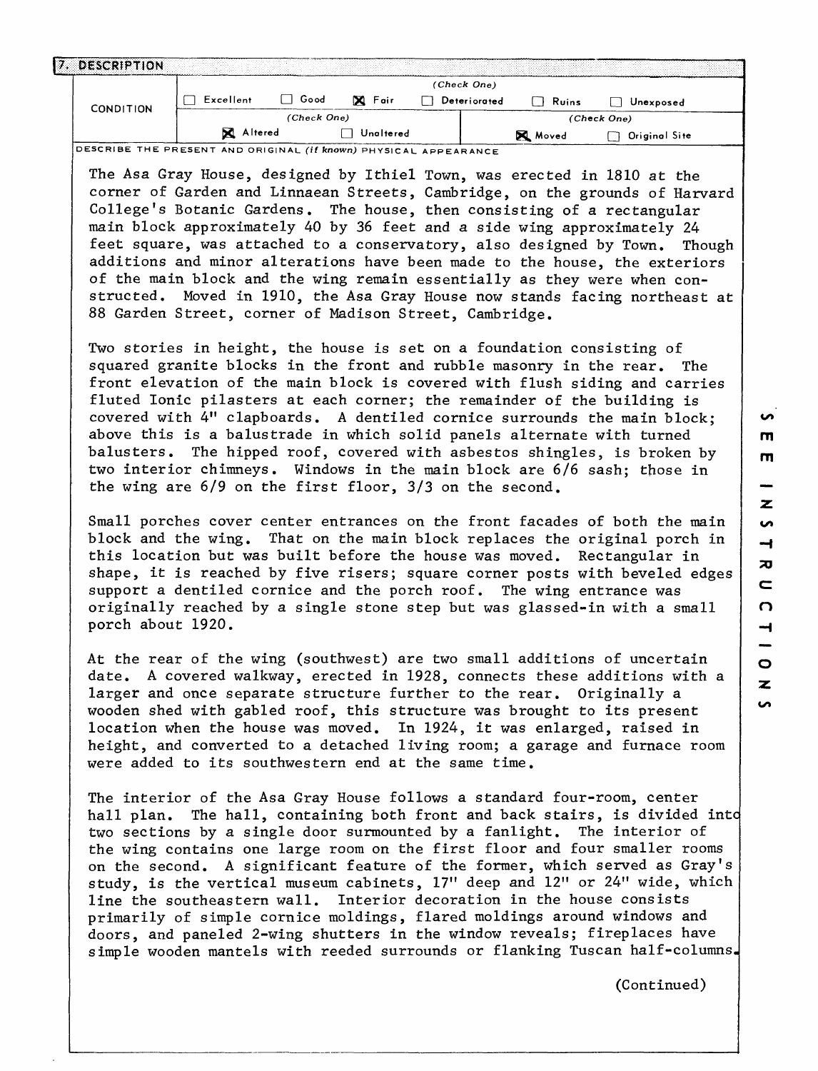| <b>CONDITION</b> | (Check One)      |             |           |              |       |               |
|------------------|------------------|-------------|-----------|--------------|-------|---------------|
|                  | Excellent        | Good        | X Fair    | Deteriorated | Ruins | Unexposed     |
|                  |                  | (Check One) |           |              |       | (Check One)   |
|                  | <b>X</b> Altered |             | Unaltered |              | Moved | Original Site |

The Asa Gray House, designed by Ithiel Town, was erected in 1810 at the corner of Garden and Linnaean Streets, Cambridge, on the grounds of Harvard College's Botanic Gardens. The house, then consisting of a rectangular main block approximately 40 by 36 feet and a side wing approximately 24 feet square, was attached to a conservatory, also designed by Town. Though additions and minor alterations have been made to the house, the exteriors of the main block and the wing remain essentially as they were when constructed. Moved in 1910, the Asa Gray House now stands facing northeast at 88 Garden Street, corner of Madison Street, Cambridge.

Two stories in height, the house is set on a foundation consisting of squared granite blocks in the front and rubble masonry in the rear. The front elevation of the main block is covered with flush siding and carries fluted Ionic pilasters at each corner; the remainder of the building is covered with 4" clapboards. A dentiled cornice surrounds the main block; above this is a balustrade in which solid panels alternate with turned balusters. The hipped roof, covered with asbestos shingles, is broken by two interior chimneys. Windows in the main block are 6/6 sash; those in the wing are 6/9 on the first floor, 3/3 on the second.

Small porches cover center entrances on the front facades of both the main block and the wing. That on the main block replaces the original porch in this location but was built before the house was moved. Rectangular in shape, it is reached by five risers; square corner posts with beveled edges support a dentiled cornice and the porch roof. The wing entrance was originally reached by a single stone step but was glassed-in with a small porch about 1920.

At the rear of the wing (southwest) are two small additions of uncertain date. A covered walkway, erected in 1928, connects these additions with a larger and once separate structure further to the rear. Originally a wooden shed with gabled roof, this structure was brought to its present location when the house was moved. In 1924, it was enlarged, raised in height, and converted to a detached living room; a garage and furnace room were added to its southwestern end at the same time.

The interior of the Asa Gray House follows a standard four-room, center hall plan. The hall, containing both front and back stairs, is divided into two sections by a single door surmounted by a fanlight. The interior of the wing contains one large room on the first floor and four smaller rooms on the second. A significant feature of the former, which served as Gray's study, is the vertical museum cabinets, 17" deep and 12" or 24" wide, which line the southeastern wall. Interior decoration in the house consists primarily of simple cornice moldings, flared moldings around windows and doors, and paneled 2-wing shutters in the window reveals; fireplaces have simple wooden mantels with reeded surrounds or flanking Tuscan half-columns,

**S** 

(Continued)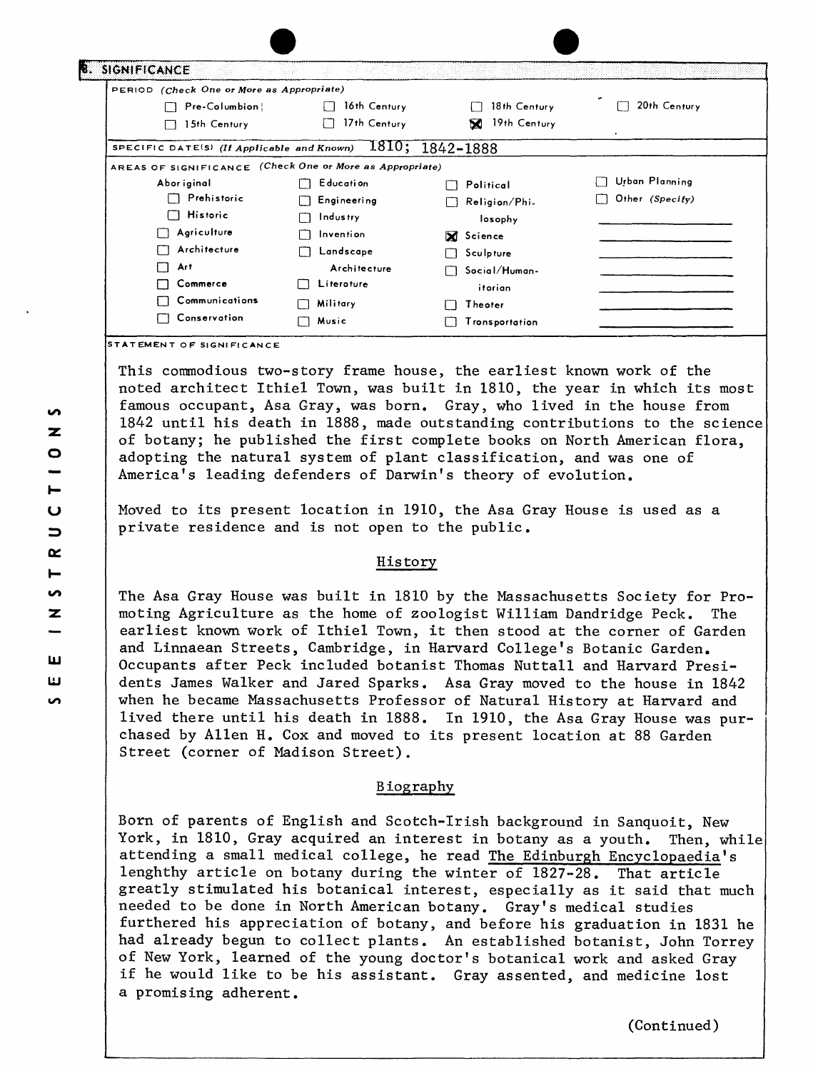| PERIOD (Check One or More as Appropriate)                |                  |                       |                 |
|----------------------------------------------------------|------------------|-----------------------|-----------------|
| Pre-Columbion                                            | 16th Century     | 18th Century          | 20th Century    |
| 15th Century                                             | 17th Century     | 19th Century<br>м     |                 |
| SPECIFIC DATE(S) (If Applicable and Known)               |                  | 1810; 1842-1888       |                 |
| AREAS OF SIGNIFICANCE (Check One or More as Appropriate) |                  |                       |                 |
| Abor iginal                                              | <b>Education</b> | Political             | Urban Planning  |
| Prehistoric                                              | Engineering      | Religion/Phi-<br>Ιj   | Other (Specity) |
| $\Box$ Historic                                          | Industry         | losophy               |                 |
| Agriculture                                              | Invention        | X Science             |                 |
| Architecture                                             | Landscape        | Sculpture             |                 |
| Art                                                      | Architecture     | Social/Human-         |                 |
| Commerce                                                 | Literoture       | itorian               |                 |
| Communications                                           | Military         | Theoter               |                 |
| Conservation                                             | Music<br>Ш       | <b>Tronsportation</b> |                 |

This commodious two-story frame house, the earliest known work of the noted architect Ithiel Town, was built in 1810, the year in which its most famous occupant, Asa Gray, was born. Gray, who lived in the house from 1842 until his death in 1888, made outstanding contributions to the science of botany; he published the first complete books on North American flora, adopting the natural system of plant classification, and was one of America's leading defenders of Darwin's theory of evolution.

Moved to its present location in 1910, the Asa Gray House is used as a private residence and is not open to the public.

### History

The Asa Gray House was built in 1810 by the Massachusetts Society for Promoting Agriculture as the home of zoologist William Dandridge Peck. The earliest known work of Ithiel Town, it then stood at the corner of Garden and Linnaean Streets, Cambridge, in Harvard College's Botanic Garden. Occupants after Peck included botanist Thomas Nuttall and Harvard Presidents James Walker and Jared Sparks. Asa Gray moved to the house in 1842 when he became Massachusetts Professor of Natural History at Harvard and lived there until his death in 1888. In 1910, the Asa Gray House was purchased by Alien H. Cox and moved to its present location at 88 Garden Street (corner of Madison Street).

## Biography

Born of parents of English and Scotch-Irish background in Sanquoit, New York, in 1810, Gray acquired an interest in botany as a youth. Then, while attending a small medical college, he read The Edinburgh Encyclopaedia's lenghthy article on botany during the winter of 1827-28. That article greatly stimulated his botanical interest, especially as it said that much needed to be done in North American botany. Gray's medical studies furthered his appreciation of botany, and before his graduation in 1831 he had already begun to collect plants. An established botanist, John Torrey of New York, learned of the young doctor's botanical work and asked Gray if he would like to be his assistant. Gray assented, and medicine lost a promising adherent.

(Continued)

**TEMENT OF SIGNIFICANCE**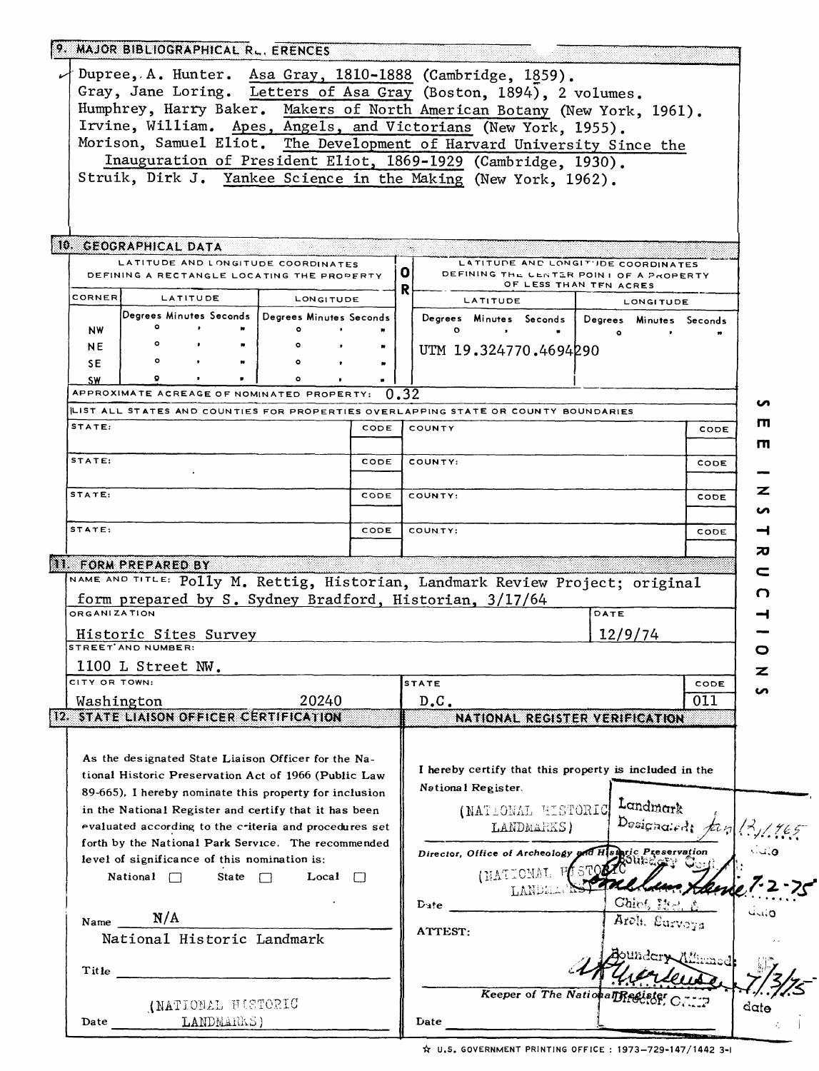|               | 9. MAJOR BIBLIOGRAPHICAL RL. ERENCES                                                                                                                                                                                                                                                                                                                                                                                                                                           |              |      |                                                                                                                                                                                                                                                                                                                                                                                                                                                                                                         |                                                                                  |      |         |
|---------------|--------------------------------------------------------------------------------------------------------------------------------------------------------------------------------------------------------------------------------------------------------------------------------------------------------------------------------------------------------------------------------------------------------------------------------------------------------------------------------|--------------|------|---------------------------------------------------------------------------------------------------------------------------------------------------------------------------------------------------------------------------------------------------------------------------------------------------------------------------------------------------------------------------------------------------------------------------------------------------------------------------------------------------------|----------------------------------------------------------------------------------|------|---------|
|               |                                                                                                                                                                                                                                                                                                                                                                                                                                                                                |              |      | $\downarrow$ Dupree, A. Hunter. Asa Gray, 1810-1888 (Cambridge, 1859).<br>Gray, Jane Loring. Letters of Asa Gray (Boston, 1894), 2 volumes.<br>Humphrey, Harry Baker. Makers of North American Botany (New York, 1961).<br>Irvine, William. Apes, Angels, and Victorians (New York, 1955).<br>Morison, Samuel Eliot. The Development of Harvard University Since the<br>Inauguration of President Eliot, 1869-1929 (Cambridge, 1930).<br>Struik, Dirk J. Yankee Science in the Making (New York, 1962). |                                                                                  |      |         |
|               | 10. GEOGRAPHICAL DATA<br>LATITUDE AND LONGITUDE COORDINATES                                                                                                                                                                                                                                                                                                                                                                                                                    |              | οı   | LATITUDE AND LONGIT'JDE COORDINATES<br>DEFINING THE CENTER POINT OF A PROPERTY                                                                                                                                                                                                                                                                                                                                                                                                                          |                                                                                  |      |         |
|               | DEFINING A RECTANGLE LOCATING THE PROPERTY                                                                                                                                                                                                                                                                                                                                                                                                                                     |              | R    |                                                                                                                                                                                                                                                                                                                                                                                                                                                                                                         | OF LESS THAN TFN ACRES                                                           |      |         |
| CORNER        | LATITUDE                                                                                                                                                                                                                                                                                                                                                                                                                                                                       | LONGITUDE    |      | <b>LATITUDE</b>                                                                                                                                                                                                                                                                                                                                                                                                                                                                                         | <b>LONGITUDE</b>                                                                 |      |         |
| NW            | Degrees Minutes Seconds   Degrees Minutes Seconds<br>۰<br>$\bullet$                                                                                                                                                                                                                                                                                                                                                                                                            |              |      | Degrees Minutes Seconds<br>o<br>$\bullet$                                                                                                                                                                                                                                                                                                                                                                                                                                                               | Degrees Minutes Seconds                                                          |      |         |
| NE.           | ۰                                                                                                                                                                                                                                                                                                                                                                                                                                                                              |              |      | UTM 19.324770.4694290                                                                                                                                                                                                                                                                                                                                                                                                                                                                                   | $\bullet$                                                                        |      |         |
| <b>SE</b>     | $\bullet$<br>$\bullet$                                                                                                                                                                                                                                                                                                                                                                                                                                                         |              |      |                                                                                                                                                                                                                                                                                                                                                                                                                                                                                                         |                                                                                  |      |         |
| <b>SW</b>     |                                                                                                                                                                                                                                                                                                                                                                                                                                                                                |              |      |                                                                                                                                                                                                                                                                                                                                                                                                                                                                                                         |                                                                                  |      |         |
|               | APPROXIMATE ACREAGE OF NOMINATED PROPERTY: $0.32$                                                                                                                                                                                                                                                                                                                                                                                                                              |              |      |                                                                                                                                                                                                                                                                                                                                                                                                                                                                                                         |                                                                                  |      | ഗ       |
|               |                                                                                                                                                                                                                                                                                                                                                                                                                                                                                |              |      | LIST ALL STATES AND COUNTIES FOR PROPERTIES OVERLAPPING STATE OR COUNTY BOUNDARIES                                                                                                                                                                                                                                                                                                                                                                                                                      |                                                                                  |      | ш       |
| STATE:        |                                                                                                                                                                                                                                                                                                                                                                                                                                                                                |              | CODE | COUNTY                                                                                                                                                                                                                                                                                                                                                                                                                                                                                                  |                                                                                  | CODE | m       |
| STATE:        |                                                                                                                                                                                                                                                                                                                                                                                                                                                                                |              | CODE | COUNTY:                                                                                                                                                                                                                                                                                                                                                                                                                                                                                                 |                                                                                  | CODE |         |
| STATE:        |                                                                                                                                                                                                                                                                                                                                                                                                                                                                                |              | CODE | COUNTY:                                                                                                                                                                                                                                                                                                                                                                                                                                                                                                 |                                                                                  | CODE | z       |
| STATE:        |                                                                                                                                                                                                                                                                                                                                                                                                                                                                                |              |      |                                                                                                                                                                                                                                                                                                                                                                                                                                                                                                         |                                                                                  |      | n       |
|               |                                                                                                                                                                                                                                                                                                                                                                                                                                                                                |              | CODE | COUNTY:                                                                                                                                                                                                                                                                                                                                                                                                                                                                                                 |                                                                                  | CODE | ᅿ       |
|               | 11. FORM PREPARED BY                                                                                                                                                                                                                                                                                                                                                                                                                                                           |              |      |                                                                                                                                                                                                                                                                                                                                                                                                                                                                                                         |                                                                                  |      | 70      |
|               |                                                                                                                                                                                                                                                                                                                                                                                                                                                                                |              |      | NAME AND TITLE: Polly M. Rettig, Historian, Landmark Review Project; original                                                                                                                                                                                                                                                                                                                                                                                                                           |                                                                                  |      | c       |
|               |                                                                                                                                                                                                                                                                                                                                                                                                                                                                                |              |      | form prepared by S. Sydney Bradford, Historian, 3/17/64                                                                                                                                                                                                                                                                                                                                                                                                                                                 |                                                                                  |      | n       |
| ORGANIZATION  |                                                                                                                                                                                                                                                                                                                                                                                                                                                                                |              |      |                                                                                                                                                                                                                                                                                                                                                                                                                                                                                                         | DATE                                                                             |      | ᅿ       |
|               | Historic Sites Survey<br>STREET AND NUMBER:                                                                                                                                                                                                                                                                                                                                                                                                                                    |              |      |                                                                                                                                                                                                                                                                                                                                                                                                                                                                                                         | 12/9/74                                                                          |      | o       |
|               | 1100 L Street NW.                                                                                                                                                                                                                                                                                                                                                                                                                                                              |              |      |                                                                                                                                                                                                                                                                                                                                                                                                                                                                                                         |                                                                                  |      | z       |
| CITY OR TOWN: |                                                                                                                                                                                                                                                                                                                                                                                                                                                                                |              |      | <b>STATE</b>                                                                                                                                                                                                                                                                                                                                                                                                                                                                                            |                                                                                  | CODE |         |
|               | Washington                                                                                                                                                                                                                                                                                                                                                                                                                                                                     | 20240        |      | D.C.                                                                                                                                                                                                                                                                                                                                                                                                                                                                                                    |                                                                                  | 011  | n       |
|               | 12. STATE LIAISON OFFICER CERTIFICATION                                                                                                                                                                                                                                                                                                                                                                                                                                        |              |      | NATIONAL REGISTER VERIFICATION                                                                                                                                                                                                                                                                                                                                                                                                                                                                          |                                                                                  |      |         |
|               | As the designated State Liaison Officer for the Na-<br>tional Historic Preservation Act of 1966 (Public Law<br>89-665), I hereby nominate this property for inclusion<br>in the National Register and certify that it has been<br>evaluated according to the criteria and procedures set<br>forth by the National Park Service. The recommended<br>level of significance of this nomination is:<br>State $\Box$<br>National $\Box$<br>Name $N/A$<br>National Historic Landmark | Local $\Box$ |      | I hereby certify that this property is included in the<br>National Register.<br>(NATIONAL HISTORIC<br>LANDMARKS)<br>Director, Office of Archeology and Historic<br>(NATIONAL F<br>$\mathbf{D}$ ate<br>ATTEST:                                                                                                                                                                                                                                                                                           | Landmark<br>Designaledt $\not\equiv \varphi$<br>$\rm G\it bic$<br>Areli, Surveys |      | بالدنان |
| Title         |                                                                                                                                                                                                                                                                                                                                                                                                                                                                                |              |      | <b>Keeper of The NationalTR</b>                                                                                                                                                                                                                                                                                                                                                                                                                                                                         |                                                                                  |      |         |
| Date          | (NATIONAL HISTORIC<br>LANDMARKS)                                                                                                                                                                                                                                                                                                                                                                                                                                               |              |      | Date                                                                                                                                                                                                                                                                                                                                                                                                                                                                                                    |                                                                                  |      | $d$ ate |
|               |                                                                                                                                                                                                                                                                                                                                                                                                                                                                                |              |      |                                                                                                                                                                                                                                                                                                                                                                                                                                                                                                         |                                                                                  |      |         |

**U.S. GOVERNMENT PRINTING OFFICE : 1973-729-147/1442 3-1**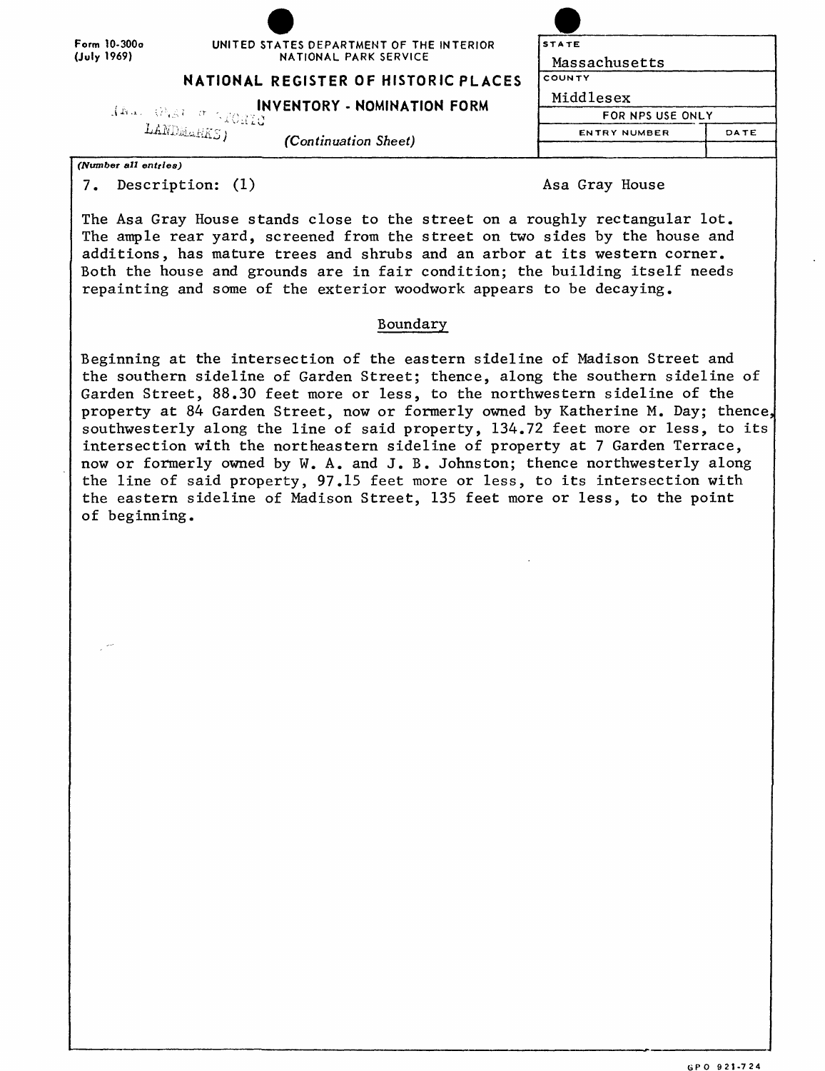| GPO 921-724 |  |
|-------------|--|
|             |  |
|             |  |

| Form 10-300a         | UNITED STATES DEPARTMENT OF THE INTERIOR                                                                   | <b>STATE</b>        |                  |  |
|----------------------|------------------------------------------------------------------------------------------------------------|---------------------|------------------|--|
| (July 1969)          | NATIONAL PARK SERVICE                                                                                      | Massachusetts       |                  |  |
|                      | NATIONAL REGISTER OF HISTORIC PLACES                                                                       | COUNTY              |                  |  |
|                      | <b>INVENTORY - NOMINATION FORM</b>                                                                         | Middlesex           |                  |  |
|                      | $\frac{1}{\text{ANN}} \frac{1}{\text{MNN}} \frac{1}{\text{MNS}} \frac{1}{\text{MNS}} \frac{1}{\text{MNS}}$ |                     | FOR NPS USE ONLY |  |
|                      | (Continuation Sheet)                                                                                       | <b>ENTRY NUMBER</b> | DATE             |  |
|                      |                                                                                                            |                     |                  |  |
| (Number all entries) |                                                                                                            |                     |                  |  |

7. Description: (1) and the same of the Asa Gray House

The Asa Gray House stands close to the street on a roughly rectangular lot. The ample rear yard, screened from the street on two sides by the house and additions, has mature trees and shrubs and an arbor at its western corner. Both the house and grounds are in fair condition; the building itself needs repainting and some of the exterior woodwork appears to be decaying.

# Boundary

Beginning at the intersection of the eastern sideline of Madison Street and the southern sideline of Garden Street; thence, along the southern sideline of Garden Street, 88.30 feet more or less, to the northwestern sideline of the property at 84 Garden Street, now or formerly owned by Katherine M. Day; thence southwesterly along the line of said property, 134.72 feet more or less, to its intersection with the northeastern sideline of property at 7 Garden Terrace, now or formerly owned by W. A. and J. B. Johnston; thence northwesterly along the line of said property, 97.15 feet more or less, to its intersection with the eastern sideline of Madison Street, 135 feet more or less, to the point of beginning.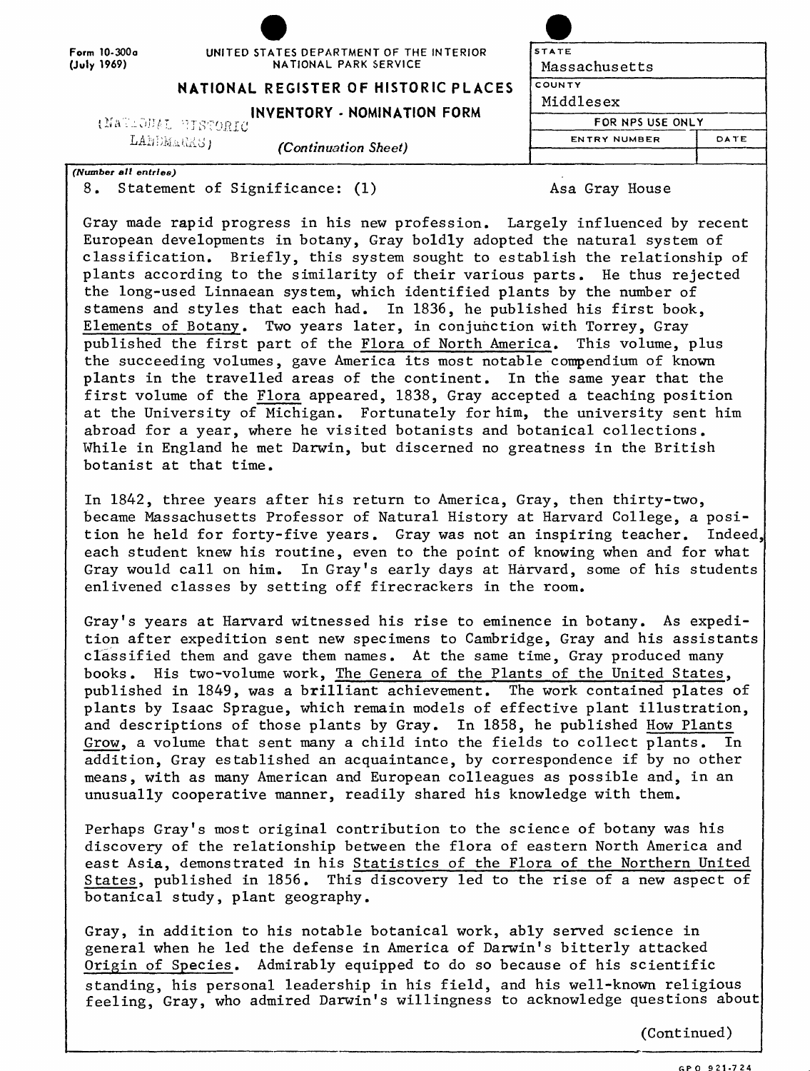Form 10-300a **(July** 1969)

# UNITED STATES DEPARTMENT OF THE INT NATIONAL PARK SERVICE

# **NATIONAL REGISTER OF HISTORIC**

#### **INVENTORY - NOMINATION F** (NATIONAL PISTORIC

LANDMARKS)

*(Continuation Sheet)*

*(Number all entries)* 8. Statement of Significance: (1) Asa Gray House

Gray made rapid progress in his new profession. Largely influenced by recent European developments in botany, Gray boldly adopted the natural system of classification. Briefly, this system sought to establish the relationship of plants according to the similarity of their various parts. He thus rejected the long-used Linnaean system, which identified plants by the number of stamens and styles that each had. In 1836, he published his first book, Elements of Botany. Two years later, in conjunction with Torrey, Gray published the first part of the Flora of North America. This volume, plus the succeeding volumes, gave America its most notable compendium of known plants in the travelled areas of the continent. In the same year that the first volume of the Flora appeared, 1838, Gray accepted a teaching position at the University of Michigan. Fortunately for him, the university sent him abroad for a year, where he visited botanists and botanical collections. While in England he met Darwin, but discerned no greatness in the British botanist at that time.

In 1842, three years after his return to America, Gray, then thirty-two, became Massachusetts Professor of Natural History at Harvard College, a position he held for forty-five years. Gray was not an inspiring teacher. Indeed, each student knew his routine, even to the point of knowing when and for what Gray would call on him. In Gray's early days at Harvard, some of his students enlivened classes by setting off firecrackers in the room.

Gray's years at Harvard witnessed his rise to eminence in botany. As expedition after expedition sent new specimens to Cambridge, Gray and his assistants classified them and gave them names. At the same time, Gray produced many books. His two-volume work, The Genera of the Plants of the United States, published in 1849, was a brilliant achievement. The work contained plates of plants by Isaac Sprague, which remain models of effective plant illustration, and descriptions of those plants by Gray. In 1858, he published How Plants Grow, a volume that sent many a child into the fields to collect plants. In addition, Gray established an acquaintance, by correspondence if by no other means, with as many American and European colleagues as possible and, in an unusually cooperative manner, readily shared his knowledge with them.

Perhaps Gray's most original contribution to the science of botany was his discovery of the relationship between the flora of eastern North America and east Asia, demonstrated in his Statistics of the Flora of the Northern United States, published in 1856. This discovery led to the rise of a new aspect of botanical study, plant geography.

Gray, in addition to his notable botanical work, ably served science in general when he led the defense in America of Darwin's bitterly attacked Origin of Species. Admirably equipped to do so because of his scientific standing, his personal leadership in his field, and his well-known religious feeling, Gray, who admired Darwin's willingness to acknowledge questions about

(Continued)

| <b><i>FERIOR</i></b> | <b>STATE</b>        |      |
|----------------------|---------------------|------|
|                      | Massachusetts       |      |
| <b>PLACES</b>        | COUNTY              |      |
| ∶ORM                 | Middlesex           |      |
|                      | FOR NPS USE ONLY    |      |
|                      | <b>ENTRY NUMBER</b> | DATE |